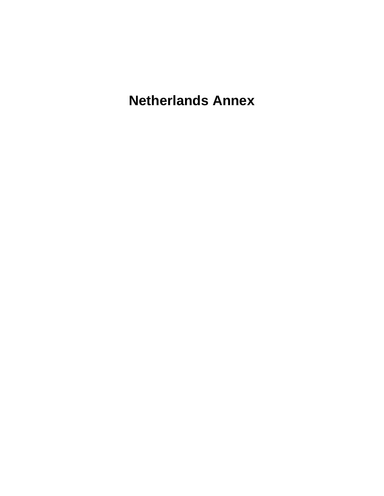**Netherlands Annex**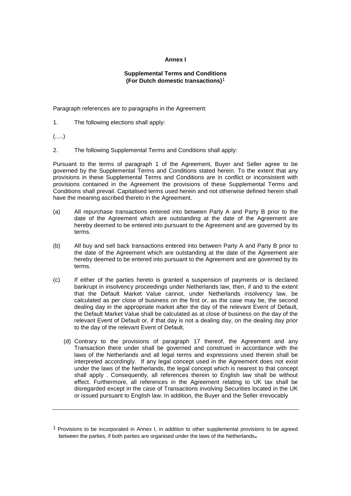## **Annex I**

## **Supplemental Terms and Conditions (For Dutch domestic transactions)**1

Paragraph references are to paragraphs in the Agreement:

1. The following elections shall apply:

(.....)

2. The following Supplemental Terms and Conditions shall apply:

Pursuant to the terms of paragraph 1 of the Agreement, Buyer and Seller agree to be governed by the Supplemental Terms and Conditions stated herein. To the extent that any provisions in these Supplemental Terms and Conditions are in conflict or inconsistent with provisions contained in the Agreement the provisions of these Supplemental Terms and Conditions shall prevail. Capitalised terms used herein and not otherwise defined herein shall have the meaning ascribed thereto in the Agreement.

- (a) All repurchase transactions entered into between Party A and Party B prior to the date of the Agreement which are outstanding at the date of the Agreement are hereby deemed to be entered into pursuant to the Agreement and are governed by its terms.
- (b) All buy and sell back transactions entered into between Party A and Party B prior to the date of the Agreement which are outstanding at the date of the Agreement are hereby deemed to be entered into pursuant to the Agreement and are governed by its terms.
- (c) If either of the parties hereto is granted a suspension of payments or is declared bankrupt in insolvency proceedings under Netherlands law, then, if and to the extent that the Default Market Value cannot, under Netherlands insolvency law, be calculated as per close of business on the first or, as the case may be, the second dealing day in the appropriate market after the day of the relevant Event of Default, the Default Market Value shall be calculated as at close of business on the day of the relevant Event of Default or, if that day is not a dealing day, on the dealing day prior to the day of the relevant Event of Default.
	- (d) Contrary to the provisions of paragraph 17 thereof, the Agreement and any Transaction there under shall be governed and construed in accordance with the laws of the Netherlands and all legal terms and expressions used therein shall be interpreted accordingly. If any legal concept used in the Agreement does not exist under the laws of the Netherlands, the legal concept which is nearest to that concept shall apply . Consequently, all references therein to English law shall be without effect. Furthermore, all references in the Agreement relating to UK tax shall be disregarded except in the case of Transactions involving Securities located in the UK or issued pursuant to English law. In addition, the Buyer and the Seller irrevocably

 $<sup>1</sup>$  Provisions to be incorporated in Annex I, in addition to other supplemental provisions to be agreed</sup> between the parties, if both parties are organised under the laws of the Netherlands**.**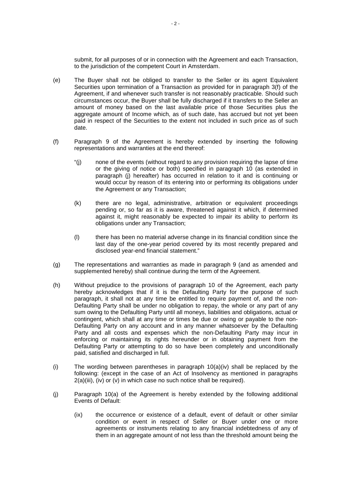submit, for all purposes of or in connection with the Agreement and each Transaction, to the jurisdiction of the competent Court in Amsterdam.

- (e) The Buyer shall not be obliged to transfer to the Seller or its agent Equivalent Securities upon termination of a Transaction as provided for in paragraph 3(f) of the Agreement, if and whenever such transfer is not reasonably practicable. Should such circumstances occur, the Buyer shall be fully discharged if it transfers to the Seller an amount of money based on the last available price of those Securities plus the aggregate amount of Income which, as of such date, has accrued but not yet been paid in respect of the Securities to the extent not included in such price as of such date.
- (f) Paragraph 9 of the Agreement is hereby extended by inserting the following representations and warranties at the end thereof:
	- "(j) none of the events (without regard to any provision requiring the lapse of time or the giving of notice or both) specified in paragraph 10 (as extended in paragraph (j) hereafter) has occurred in relation to it and is continuing or would occur by reason of its entering into or performing its obligations under the Agreement or any Transaction;
	- (k) there are no legal, administrative, arbitration or equivalent proceedings pending or, so far as it is aware, threatened against it which, if determined against it, might reasonably be expected to impair its ability to perform its obligations under any Transaction;
	- (l) there has been no material adverse change in its financial condition since the last day of the one-year period covered by its most recently prepared and disclosed year-end financial statement."
- (g) The representations and warranties as made in paragraph 9 (and as amended and supplemented hereby) shall continue during the term of the Agreement.
- (h) Without prejudice to the provisions of paragraph 10 of the Agreement, each party hereby acknowledges that if it is the Defaulting Party for the purpose of such paragraph, it shall not at any time be entitled to require payment of, and the non-Defaulting Party shall be under no obligation to repay, the whole or any part of any sum owing to the Defaulting Party until all moneys, liabilities and obligations, actual or contingent, which shall at any time or times be due or owing or payable to the non-Defaulting Party on any account and in any manner whatsoever by the Defaulting Party and all costs and expenses which the non-Defaulting Party may incur in enforcing or maintaining its rights hereunder or in obtaining payment from the Defaulting Party or attempting to do so have been completely and unconditionally paid, satisfied and discharged in full.
- (i) The wording between parentheses in paragraph  $10(a)(iv)$  shall be replaced by the following: (except in the case of an Act of Insolvency as mentioned in paragraphs 2(a)(iii), (iv) or (v) in which case no such notice shall be required).
- (j) Paragraph 10(a) of the Agreement is hereby extended by the following additional Events of Default:
	- (ix) the occurrence or existence of a default, event of default or other similar condition or event in respect of Seller or Buyer under one or more agreements or instruments relating to any financial indebtedness of any of them in an aggregate amount of not less than the threshold amount being the